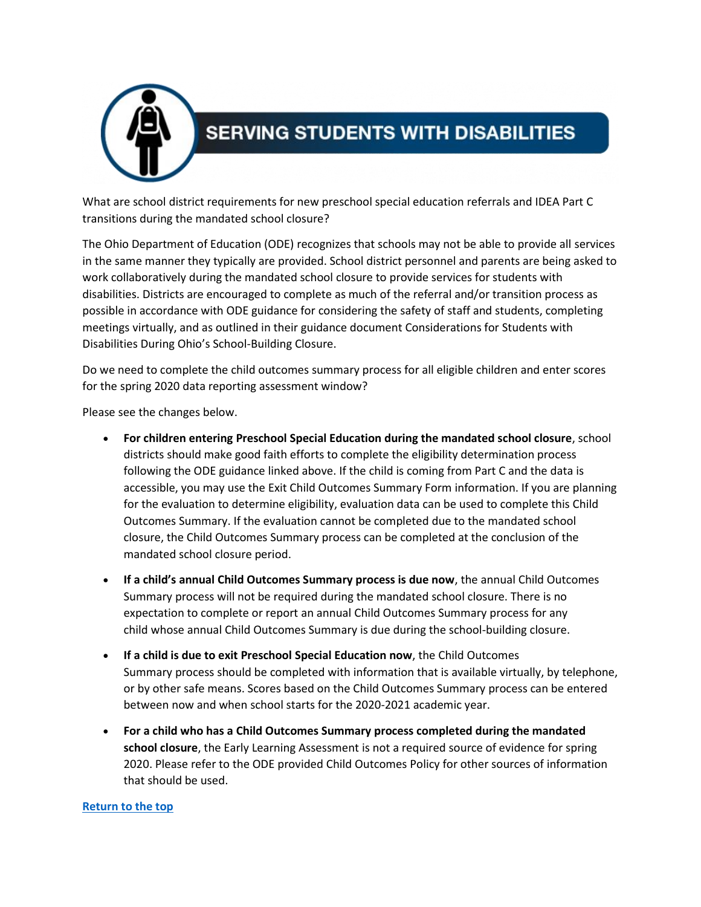

## **SERVING STUDENTS WITH DISABILITIES**

What are school district requirements for new preschool special education referrals and IDEA Part C transitions during the mandated school closure?

The Ohio Department of Education (ODE) recognizes that schools may not be able to provide all services in the same manner they typically are provided. School district personnel and parents are being asked to work collaboratively during the mandated school closure to provide services for students with disabilities. Districts are encouraged to complete as much of the referral and/or transition process as possible in accordance with ODE guidance for considering the safety of staff and students, completing meetings virtually, and as outlined in their guidance document Considerations for Students with Disabilities During Ohio's School-Building Closure.

Do we need to complete the child outcomes summary process for all eligible children and enter scores for the spring 2020 data reporting assessment window?

Please see the changes below.

- **For children entering Preschool Special Education during the mandated school closure**, school districts should make good faith efforts to complete the eligibility determination process following the ODE guidance linked above. If the child is coming from Part C and the data is accessible, you may use the Exit Child Outcomes Summary Form information. If you are planning for the evaluation to determine eligibility, evaluation data can be used to complete this Child Outcomes Summary. If the evaluation cannot be completed due to the mandated school closure, the Child Outcomes Summary process can be completed at the conclusion of the mandated school closure period.
- **If a child's annual Child Outcomes Summary process is due now**, the annual Child Outcomes Summary process will not be required during the mandated school closure. There is no expectation to complete or report an annual Child Outcomes Summary process for any child whose annual Child Outcomes Summary is due during the school-building closure.
- **If a child is due to exit Preschool Special Education now**, the Child Outcomes Summary process should be completed with information that is available virtually, by telephone, or by other safe means. Scores based on the Child Outcomes Summary process can be entered between now and when school starts for the 2020-2021 academic year.
- **For a child who has a Child Outcomes Summary process completed during the mandated school closure**, the Early Learning Assessment is not a required source of evidence for spring 2020. Please refer to the ODE provided Child Outcomes Policy for other sources of information that should be used.

## **[Return to the top](https://www.ohea.org/oea-coronavirus-faq/#hometop)**